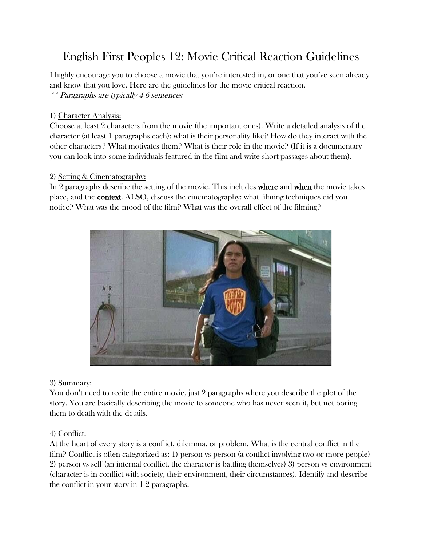# English First Peoples 12: Movie Critical Reaction Guidelines

I highly encourage you to choose a movie that you're interested in, or one that you've seen already and know that you love. Here are the guidelines for the movie critical reaction. \*\* Paragraphs are typically 4-6 sentences

## 1) Character Analysis:

Choose at least 2 characters from the movie (the important ones). Write a detailed analysis of the character (at least 1 paragraphs each): what is their personality like? How do they interact with the other characters? What motivates them? What is their role in the movie? (If it is a documentary you can look into some individuals featured in the film and write short passages about them).

# 2) Setting & Cinematography:

In 2 paragraphs describe the setting of the movie. This includes where and when the movie takes place, and the context. ALSO, discuss the cinematography: what filming techniques did you notice? What was the mood of the film? What was the overall effect of the filming?



# 3) Summary:

You don't need to recite the entire movie, just 2 paragraphs where you describe the plot of the story. You are basically describing the movie to someone who has never seen it, but not boring them to death with the details.

### 4) Conflict:

At the heart of every story is a conflict, dilemma, or problem. What is the central conflict in the film? Conflict is often categorized as: 1) person vs person (a conflict involving two or more people) 2) person vs self (an internal conflict, the character is battling themselves) 3) person vs environment (character is in conflict with society, their environment, their circumstances). Identify and describe the conflict in your story in 1-2 paragraphs.